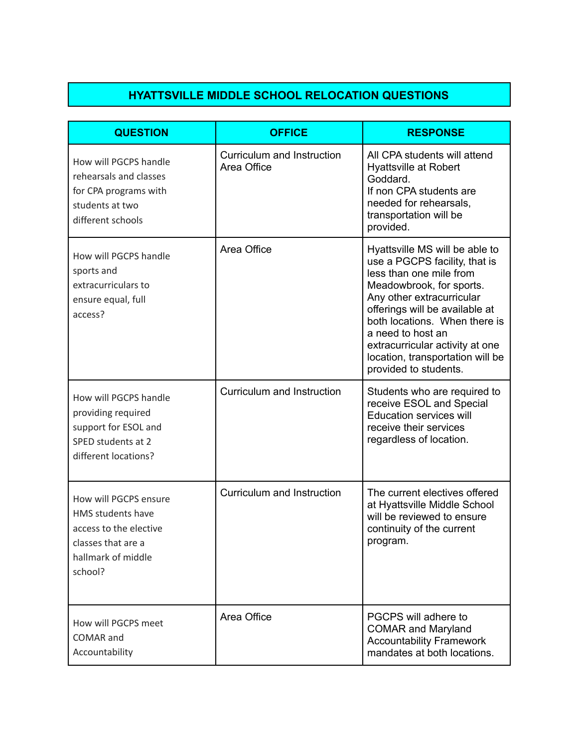## **HYATTSVILLE MIDDLE SCHOOL RELOCATION QUESTIONS**

| <b>QUESTION</b>                                                                                                             | <b>OFFICE</b>                             | <b>RESPONSE</b>                                                                                                                                                                                                                                                                                                                             |
|-----------------------------------------------------------------------------------------------------------------------------|-------------------------------------------|---------------------------------------------------------------------------------------------------------------------------------------------------------------------------------------------------------------------------------------------------------------------------------------------------------------------------------------------|
| How will PGCPS handle<br>rehearsals and classes<br>for CPA programs with<br>students at two<br>different schools            | Curriculum and Instruction<br>Area Office | All CPA students will attend<br><b>Hyattsville at Robert</b><br>Goddard.<br>If non CPA students are<br>needed for rehearsals,<br>transportation will be<br>provided.                                                                                                                                                                        |
| How will PGCPS handle<br>sports and<br>extracurriculars to<br>ensure equal, full<br>access?                                 | Area Office                               | Hyattsville MS will be able to<br>use a PGCPS facility, that is<br>less than one mile from<br>Meadowbrook, for sports.<br>Any other extracurricular<br>offerings will be available at<br>both locations. When there is<br>a need to host an<br>extracurricular activity at one<br>location, transportation will be<br>provided to students. |
| How will PGCPS handle<br>providing required<br>support for ESOL and<br>SPED students at 2<br>different locations?           | Curriculum and Instruction                | Students who are required to<br>receive ESOL and Special<br><b>Education services will</b><br>receive their services<br>regardless of location.                                                                                                                                                                                             |
| How will PGCPS ensure<br>HMS students have<br>access to the elective<br>classes that are a<br>hallmark of middle<br>school? | Curriculum and Instruction                | The current electives offered<br>at Hyattsville Middle School<br>will be reviewed to ensure<br>continuity of the current<br>program.                                                                                                                                                                                                        |
| How will PGCPS meet<br><b>COMAR</b> and<br>Accountability                                                                   | Area Office                               | PGCPS will adhere to<br><b>COMAR and Maryland</b><br><b>Accountability Framework</b><br>mandates at both locations.                                                                                                                                                                                                                         |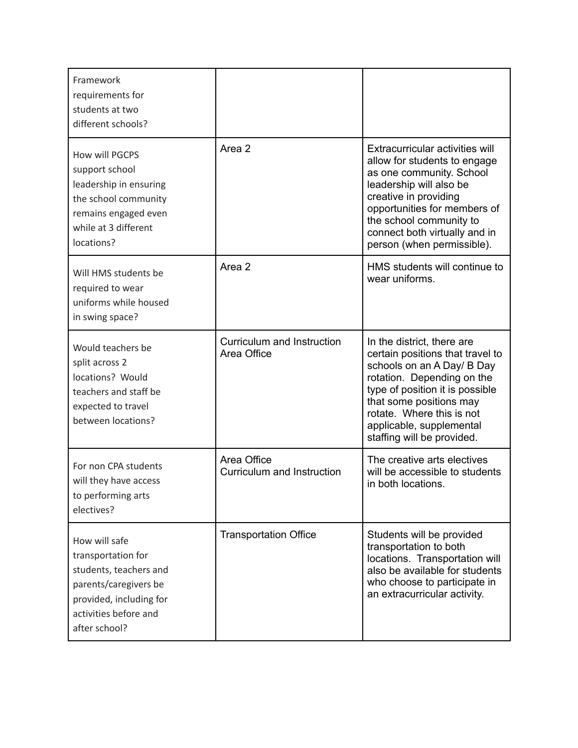| Framework<br>requirements for<br>students at two<br>different schools?                                                                                      |                                           |                                                                                                                                                                                                                                                                                 |
|-------------------------------------------------------------------------------------------------------------------------------------------------------------|-------------------------------------------|---------------------------------------------------------------------------------------------------------------------------------------------------------------------------------------------------------------------------------------------------------------------------------|
| How will PGCPS<br>support school<br>leadership in ensuring<br>the school community<br>remains engaged even<br>while at 3 different<br>locations?            | Area 2                                    | Extracurricular activities will<br>allow for students to engage<br>as one community. School<br>leadership will also be<br>creative in providing<br>opportunities for members of<br>the school community to<br>connect both virtually and in<br>person (when permissible).       |
| Will HMS students be<br>required to wear<br>uniforms while housed<br>in swing space?                                                                        | Area 2                                    | HMS students will continue to<br>wear uniforms.                                                                                                                                                                                                                                 |
| Would teachers be<br>split across 2<br>locations? Would<br>teachers and staff be<br>expected to travel<br>between locations?                                | Curriculum and Instruction<br>Area Office | In the district, there are<br>certain positions that travel to<br>schools on an A Day/ B Day<br>rotation. Depending on the<br>type of position it is possible<br>that some positions may<br>rotate. Where this is not<br>applicable, supplemental<br>staffing will be provided. |
| For non CPA students<br>will they have access<br>to performing arts<br>electives?                                                                           | Area Office<br>Curriculum and Instruction | The creative arts electives<br>will be accessible to students<br>in both locations.                                                                                                                                                                                             |
| How will safe<br>transportation for<br>students, teachers and<br>parents/caregivers be<br>provided, including for<br>activities before and<br>after school? | <b>Transportation Office</b>              | Students will be provided<br>transportation to both<br>locations. Transportation will<br>also be available for students<br>who choose to participate in<br>an extracurricular activity.                                                                                         |